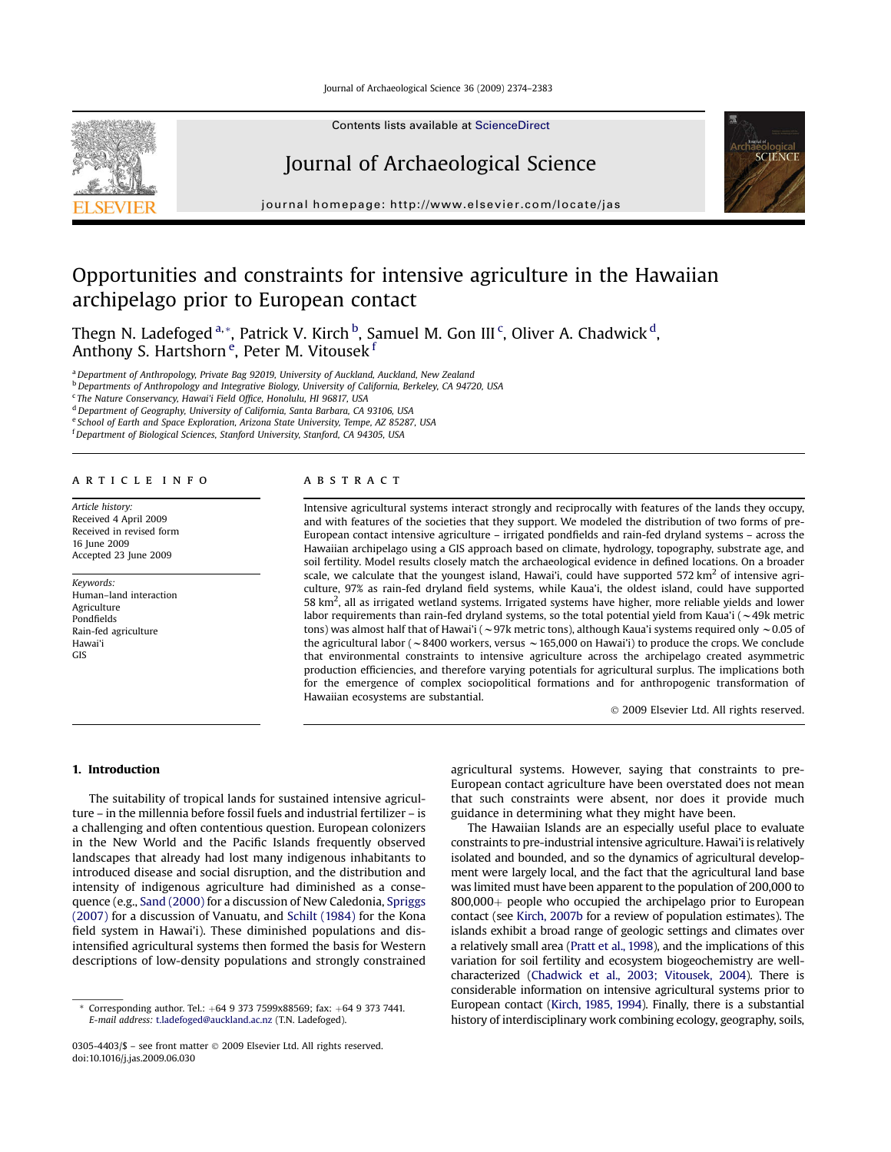

Contents lists available at ScienceDirect

# Journal of Archaeological Science



journal homepage: http://www.elsevier.com/locate/jas

# Opportunities and constraints for intensive agriculture in the Hawaiian archipelago prior to European contact

Thegn N. Ladefoged <sup>a,</sup>\*, Patrick V. Kirch <sup>b</sup>, Samuel M. Gon III <sup>c</sup>, Oliver A. Chadwick <sup>d</sup>, Anthony S. Hartshorn<sup>e</sup>, Peter M. Vitousek<sup>f</sup>

<sup>a</sup> Department of Anthropology, Private Bag 92019, University of Auckland, Auckland, New Zealand

<sup>b</sup> Departments of Anthropology and Integrative Biology, University of California, Berkeley, CA 94720, USA

<sup>c</sup> The Nature Conservancy, Hawai'i Field Office, Honolulu, HI 96817, USA

<sup>d</sup> Department of Geography, University of California, Santa Barbara, CA 93106, USA

<sup>e</sup> School of Earth and Space Exploration, Arizona State University, Tempe, AZ 85287, USA

<sup>f</sup> Department of Biological Sciences, Stanford University, Stanford, CA 94305, USA

## article info

Article history: Received 4 April 2009 Received in revised form 16 June 2009 Accepted 23 June 2009

Keywords: Human–land interaction Agriculture Pondfields Rain-fed agriculture Hawai'i GIS

# ABSTRACT

Intensive agricultural systems interact strongly and reciprocally with features of the lands they occupy, and with features of the societies that they support. We modeled the distribution of two forms of pre-European contact intensive agriculture – irrigated pondfields and rain-fed dryland systems – across the Hawaiian archipelago using a GIS approach based on climate, hydrology, topography, substrate age, and soil fertility. Model results closely match the archaeological evidence in defined locations. On a broader scale, we calculate that the youngest island, Hawai'i, could have supported 572  $km^2$  of intensive agriculture, 97% as rain-fed dryland field systems, while Kaua'i, the oldest island, could have supported 58  $\text{km}^2$ , all as irrigated wetland systems. Irrigated systems have higher, more reliable yields and lower labor requirements than rain-fed dryland systems, so the total potential yield from Kaua'i ( $\sim$ 49k metric tons) was almost half that of Hawai'i ( $\sim$  97k metric tons), although Kaua'i systems required only  $\sim$  0.05 of the agricultural labor ( $\sim$ 8400 workers, versus  $\sim$  165,000 on Hawai'i) to produce the crops. We conclude that environmental constraints to intensive agriculture across the archipelago created asymmetric production efficiencies, and therefore varying potentials for agricultural surplus. The implications both for the emergence of complex sociopolitical formations and for anthropogenic transformation of Hawaiian ecosystems are substantial.

 $\odot$  2009 Elsevier Ltd. All rights reserved.

## 1. Introduction

The suitability of tropical lands for sustained intensive agriculture – in the millennia before fossil fuels and industrial fertilizer – is a challenging and often contentious question. European colonizers in the New World and the Pacific Islands frequently observed landscapes that already had lost many indigenous inhabitants to introduced disease and social disruption, and the distribution and intensity of indigenous agriculture had diminished as a consequence (e.g., Sand (2000) for a discussion of New Caledonia, Spriggs (2007) for a discussion of Vanuatu, and Schilt (1984) for the Kona field system in Hawai'i). These diminished populations and disintensified agricultural systems then formed the basis for Western descriptions of low-density populations and strongly constrained

agricultural systems. However, saying that constraints to pre-European contact agriculture have been overstated does not mean that such constraints were absent, nor does it provide much guidance in determining what they might have been.

The Hawaiian Islands are an especially useful place to evaluate constraints to pre-industrial intensive agriculture. Hawai'i is relatively isolated and bounded, and so the dynamics of agricultural development were largely local, and the fact that the agricultural land base was limited must have been apparent to the population of 200,000 to  $800,000+$  people who occupied the archipelago prior to European contact (see Kirch, 2007b for a review of population estimates). The islands exhibit a broad range of geologic settings and climates over a relatively small area (Pratt et al., 1998), and the implications of this variation for soil fertility and ecosystem biogeochemistry are wellcharacterized (Chadwick et al., 2003; Vitousek, 2004). There is considerable information on intensive agricultural systems prior to European contact (Kirch, 1985, 1994). Finally, there is a substantial history of interdisciplinary work combining ecology, geography, soils,

 $*$  Corresponding author. Tel.:  $+64$  9 373 7599x88569; fax:  $+64$  9 373 7441. E-mail address: t.ladefoged@auckland.ac.nz (T.N. Ladefoged).

 $0305-4403$ /\$ – see front matter  $\odot$  2009 Elsevier Ltd. All rights reserved. doi:10.1016/j.jas.2009.06.030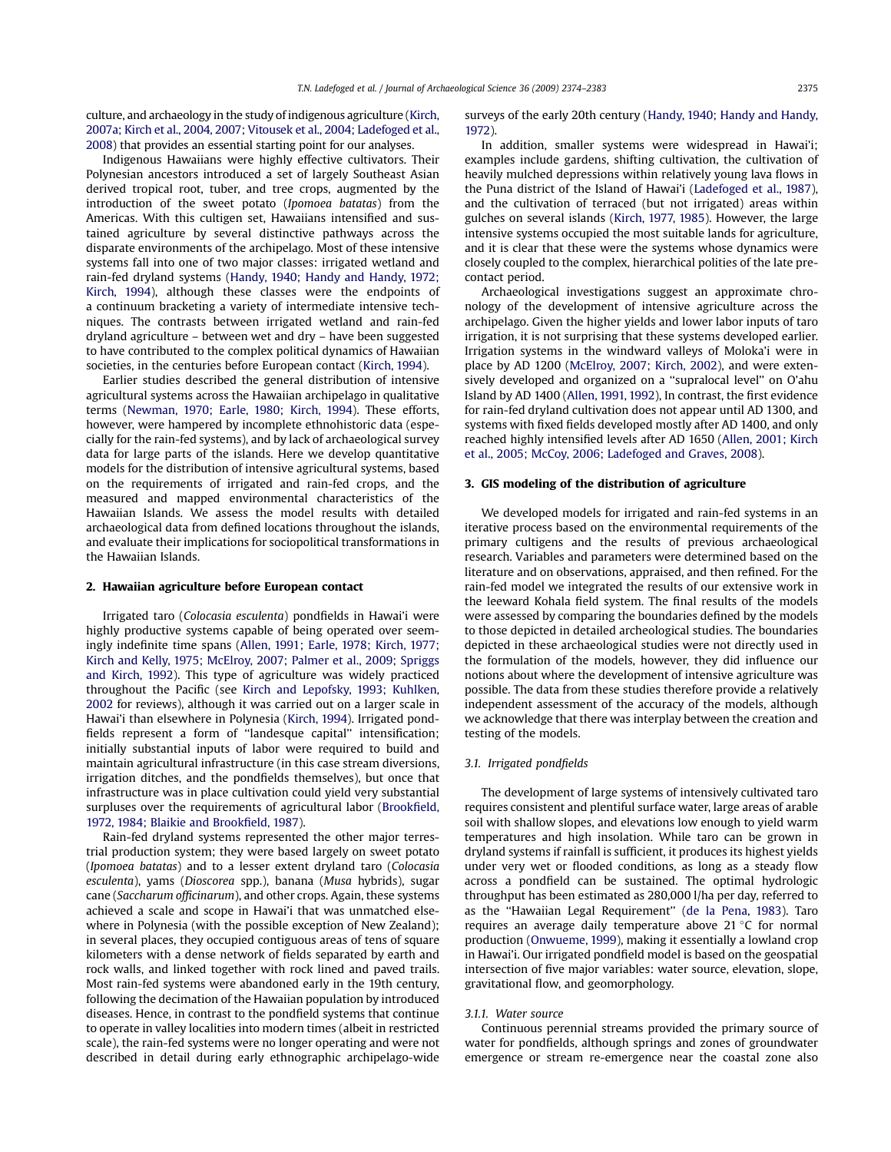culture, and archaeology in the study of indigenous agriculture (Kirch, 2007a; Kirch et al., 2004, 2007; Vitousek et al., 2004; Ladefoged et al., 2008) that provides an essential starting point for our analyses.

Indigenous Hawaiians were highly effective cultivators. Their Polynesian ancestors introduced a set of largely Southeast Asian derived tropical root, tuber, and tree crops, augmented by the introduction of the sweet potato (Ipomoea batatas) from the Americas. With this cultigen set, Hawaiians intensified and sustained agriculture by several distinctive pathways across the disparate environments of the archipelago. Most of these intensive systems fall into one of two major classes: irrigated wetland and rain-fed dryland systems (Handy, 1940; Handy and Handy, 1972; Kirch, 1994), although these classes were the endpoints of a continuum bracketing a variety of intermediate intensive techniques. The contrasts between irrigated wetland and rain-fed dryland agriculture – between wet and dry – have been suggested to have contributed to the complex political dynamics of Hawaiian societies, in the centuries before European contact (Kirch, 1994).

Earlier studies described the general distribution of intensive agricultural systems across the Hawaiian archipelago in qualitative terms (Newman, 1970; Earle, 1980; Kirch, 1994). These efforts, however, were hampered by incomplete ethnohistoric data (especially for the rain-fed systems), and by lack of archaeological survey data for large parts of the islands. Here we develop quantitative models for the distribution of intensive agricultural systems, based on the requirements of irrigated and rain-fed crops, and the measured and mapped environmental characteristics of the Hawaiian Islands. We assess the model results with detailed archaeological data from defined locations throughout the islands, and evaluate their implications for sociopolitical transformations in the Hawaiian Islands.

## 2. Hawaiian agriculture before European contact

Irrigated taro (Colocasia esculenta) pondfields in Hawai'i were highly productive systems capable of being operated over seemingly indefinite time spans (Allen, 1991; Earle, 1978; Kirch, 1977; Kirch and Kelly, 1975; McElroy, 2007; Palmer et al., 2009; Spriggs and Kirch, 1992). This type of agriculture was widely practiced throughout the Pacific (see Kirch and Lepofsky, 1993; Kuhlken, 2002 for reviews), although it was carried out on a larger scale in Hawai'i than elsewhere in Polynesia (Kirch, 1994). Irrigated pondfields represent a form of ''landesque capital'' intensification; initially substantial inputs of labor were required to build and maintain agricultural infrastructure (in this case stream diversions, irrigation ditches, and the pondfields themselves), but once that infrastructure was in place cultivation could yield very substantial surpluses over the requirements of agricultural labor (Brookfield, 1972, 1984; Blaikie and Brookfield, 1987).

Rain-fed dryland systems represented the other major terrestrial production system; they were based largely on sweet potato (Ipomoea batatas) and to a lesser extent dryland taro (Colocasia esculenta), yams (Dioscorea spp.), banana (Musa hybrids), sugar cane (Saccharum officinarum), and other crops. Again, these systems achieved a scale and scope in Hawai'i that was unmatched elsewhere in Polynesia (with the possible exception of New Zealand); in several places, they occupied contiguous areas of tens of square kilometers with a dense network of fields separated by earth and rock walls, and linked together with rock lined and paved trails. Most rain-fed systems were abandoned early in the 19th century, following the decimation of the Hawaiian population by introduced diseases. Hence, in contrast to the pondfield systems that continue to operate in valley localities into modern times (albeit in restricted scale), the rain-fed systems were no longer operating and were not described in detail during early ethnographic archipelago-wide

surveys of the early 20th century (Handy, 1940; Handy and Handy, 1972).

In addition, smaller systems were widespread in Hawai'i; examples include gardens, shifting cultivation, the cultivation of heavily mulched depressions within relatively young lava flows in the Puna district of the Island of Hawai'i (Ladefoged et al., 1987), and the cultivation of terraced (but not irrigated) areas within gulches on several islands (Kirch, 1977, 1985). However, the large intensive systems occupied the most suitable lands for agriculture, and it is clear that these were the systems whose dynamics were closely coupled to the complex, hierarchical polities of the late precontact period.

Archaeological investigations suggest an approximate chronology of the development of intensive agriculture across the archipelago. Given the higher yields and lower labor inputs of taro irrigation, it is not surprising that these systems developed earlier. Irrigation systems in the windward valleys of Moloka'i were in place by AD 1200 (McElroy, 2007; Kirch, 2002), and were extensively developed and organized on a ''supralocal level'' on O'ahu Island by AD 1400 (Allen, 1991, 1992), In contrast, the first evidence for rain-fed dryland cultivation does not appear until AD 1300, and systems with fixed fields developed mostly after AD 1400, and only reached highly intensified levels after AD 1650 (Allen, 2001; Kirch et al., 2005; McCoy, 2006; Ladefoged and Graves, 2008).

#### 3. GIS modeling of the distribution of agriculture

We developed models for irrigated and rain-fed systems in an iterative process based on the environmental requirements of the primary cultigens and the results of previous archaeological research. Variables and parameters were determined based on the literature and on observations, appraised, and then refined. For the rain-fed model we integrated the results of our extensive work in the leeward Kohala field system. The final results of the models were assessed by comparing the boundaries defined by the models to those depicted in detailed archeological studies. The boundaries depicted in these archaeological studies were not directly used in the formulation of the models, however, they did influence our notions about where the development of intensive agriculture was possible. The data from these studies therefore provide a relatively independent assessment of the accuracy of the models, although we acknowledge that there was interplay between the creation and testing of the models.

#### 3.1. Irrigated pondfields

The development of large systems of intensively cultivated taro requires consistent and plentiful surface water, large areas of arable soil with shallow slopes, and elevations low enough to yield warm temperatures and high insolation. While taro can be grown in dryland systems if rainfall is sufficient, it produces its highest yields under very wet or flooded conditions, as long as a steady flow across a pondfield can be sustained. The optimal hydrologic throughput has been estimated as 280,000 l/ha per day, referred to as the ''Hawaiian Legal Requirement'' (de la Pena, 1983). Taro requires an average daily temperature above 21 °C for normal production (Onwueme, 1999), making it essentially a lowland crop in Hawai'i. Our irrigated pondfield model is based on the geospatial intersection of five major variables: water source, elevation, slope, gravitational flow, and geomorphology.

### 3.1.1. Water source

Continuous perennial streams provided the primary source of water for pondfields, although springs and zones of groundwater emergence or stream re-emergence near the coastal zone also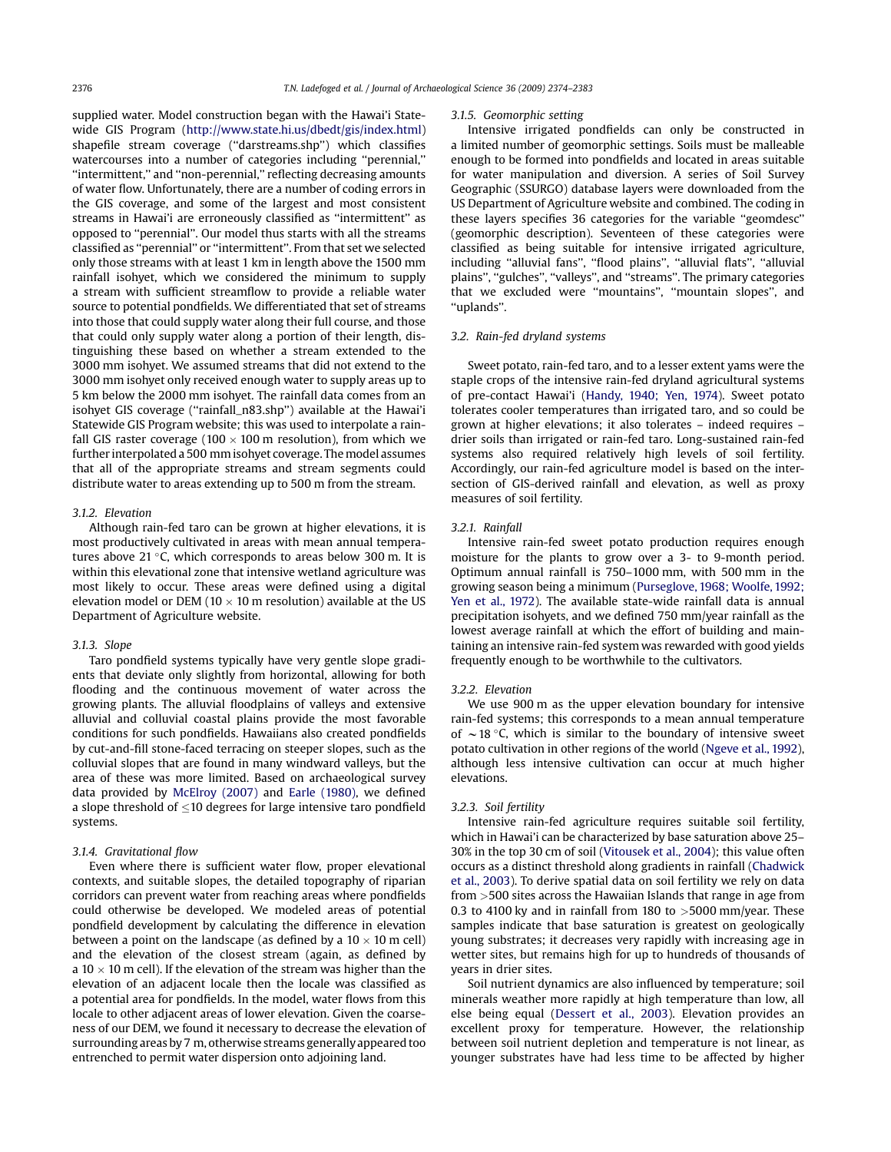supplied water. Model construction began with the Hawai'i Statewide GIS Program (http://www.state.hi.us/dbedt/gis/index.html) shapefile stream coverage (''darstreams.shp'') which classifies watercourses into a number of categories including ''perennial,'' "intermittent," and "non-perennial," reflecting decreasing amounts of water flow. Unfortunately, there are a number of coding errors in the GIS coverage, and some of the largest and most consistent streams in Hawai'i are erroneously classified as ''intermittent'' as opposed to ''perennial''. Our model thus starts with all the streams classified as ''perennial'' or ''intermittent''. From that set we selected only those streams with at least 1 km in length above the 1500 mm rainfall isohyet, which we considered the minimum to supply a stream with sufficient streamflow to provide a reliable water source to potential pondfields. We differentiated that set of streams into those that could supply water along their full course, and those that could only supply water along a portion of their length, distinguishing these based on whether a stream extended to the 3000 mm isohyet. We assumed streams that did not extend to the 3000 mm isohyet only received enough water to supply areas up to 5 km below the 2000 mm isohyet. The rainfall data comes from an isohyet GIS coverage ("rainfall\_n83.shp") available at the Hawai'i Statewide GIS Program website; this was used to interpolate a rainfall GIS raster coverage (100  $\times$  100 m resolution), from which we further interpolated a 500 mm isohyet coverage. The model assumes that all of the appropriate streams and stream segments could distribute water to areas extending up to 500 m from the stream.

#### 3.1.2. Elevation

Although rain-fed taro can be grown at higher elevations, it is most productively cultivated in areas with mean annual temperatures above 21 $\degree$ C, which corresponds to areas below 300 m. It is within this elevational zone that intensive wetland agriculture was most likely to occur. These areas were defined using a digital elevation model or DEM ( $10 \times 10$  m resolution) available at the US Department of Agriculture website.

#### 3.1.3. Slope

Taro pondfield systems typically have very gentle slope gradients that deviate only slightly from horizontal, allowing for both flooding and the continuous movement of water across the growing plants. The alluvial floodplains of valleys and extensive alluvial and colluvial coastal plains provide the most favorable conditions for such pondfields. Hawaiians also created pondfields by cut-and-fill stone-faced terracing on steeper slopes, such as the colluvial slopes that are found in many windward valleys, but the area of these was more limited. Based on archaeological survey data provided by McElroy (2007) and Earle (1980), we defined a slope threshold of  $\leq$ 10 degrees for large intensive taro pondfield systems.

#### 3.1.4. Gravitational flow

Even where there is sufficient water flow, proper elevational contexts, and suitable slopes, the detailed topography of riparian corridors can prevent water from reaching areas where pondfields could otherwise be developed. We modeled areas of potential pondfield development by calculating the difference in elevation between a point on the landscape (as defined by a  $10 \times 10$  m cell) and the elevation of the closest stream (again, as defined by a 10  $\times$  10 m cell). If the elevation of the stream was higher than the elevation of an adjacent locale then the locale was classified as a potential area for pondfields. In the model, water flows from this locale to other adjacent areas of lower elevation. Given the coarseness of our DEM, we found it necessary to decrease the elevation of surrounding areas by 7 m, otherwise streams generally appeared too entrenched to permit water dispersion onto adjoining land.

#### 3.1.5. Geomorphic setting

Intensive irrigated pondfields can only be constructed in a limited number of geomorphic settings. Soils must be malleable enough to be formed into pondfields and located in areas suitable for water manipulation and diversion. A series of Soil Survey Geographic (SSURGO) database layers were downloaded from the US Department of Agriculture website and combined. The coding in these layers specifies 36 categories for the variable ''geomdesc'' (geomorphic description). Seventeen of these categories were classified as being suitable for intensive irrigated agriculture, including ''alluvial fans'', ''flood plains'', ''alluvial flats'', ''alluvial plains", "gulches", "valleys", and "streams". The primary categories that we excluded were ''mountains'', ''mountain slopes'', and ''uplands''.

## 3.2. Rain-fed dryland systems

Sweet potato, rain-fed taro, and to a lesser extent yams were the staple crops of the intensive rain-fed dryland agricultural systems of pre-contact Hawai'i (Handy, 1940; Yen, 1974). Sweet potato tolerates cooler temperatures than irrigated taro, and so could be grown at higher elevations; it also tolerates – indeed requires – drier soils than irrigated or rain-fed taro. Long-sustained rain-fed systems also required relatively high levels of soil fertility. Accordingly, our rain-fed agriculture model is based on the intersection of GIS-derived rainfall and elevation, as well as proxy measures of soil fertility.

#### 3.2.1. Rainfall

Intensive rain-fed sweet potato production requires enough moisture for the plants to grow over a 3- to 9-month period. Optimum annual rainfall is 750–1000 mm, with 500 mm in the growing season being a minimum (Purseglove, 1968; Woolfe, 1992; Yen et al., 1972). The available state-wide rainfall data is annual precipitation isohyets, and we defined 750 mm/year rainfall as the lowest average rainfall at which the effort of building and maintaining an intensive rain-fed system was rewarded with good yields frequently enough to be worthwhile to the cultivators.

#### 3.2.2. Elevation

We use 900 m as the upper elevation boundary for intensive rain-fed systems; this corresponds to a mean annual temperature of  $\sim$  18 °C, which is similar to the boundary of intensive sweet potato cultivation in other regions of the world (Ngeve et al., 1992), although less intensive cultivation can occur at much higher elevations.

## 3.2.3. Soil fertility

Intensive rain-fed agriculture requires suitable soil fertility, which in Hawai'i can be characterized by base saturation above 25– 30% in the top 30 cm of soil (Vitousek et al., 2004); this value often occurs as a distinct threshold along gradients in rainfall (Chadwick et al., 2003). To derive spatial data on soil fertility we rely on data from >500 sites across the Hawaiian Islands that range in age from 0.3 to 4100 ky and in rainfall from 180 to  $>$  5000 mm/year. These samples indicate that base saturation is greatest on geologically young substrates; it decreases very rapidly with increasing age in wetter sites, but remains high for up to hundreds of thousands of years in drier sites.

Soil nutrient dynamics are also influenced by temperature; soil minerals weather more rapidly at high temperature than low, all else being equal (Dessert et al., 2003). Elevation provides an excellent proxy for temperature. However, the relationship between soil nutrient depletion and temperature is not linear, as younger substrates have had less time to be affected by higher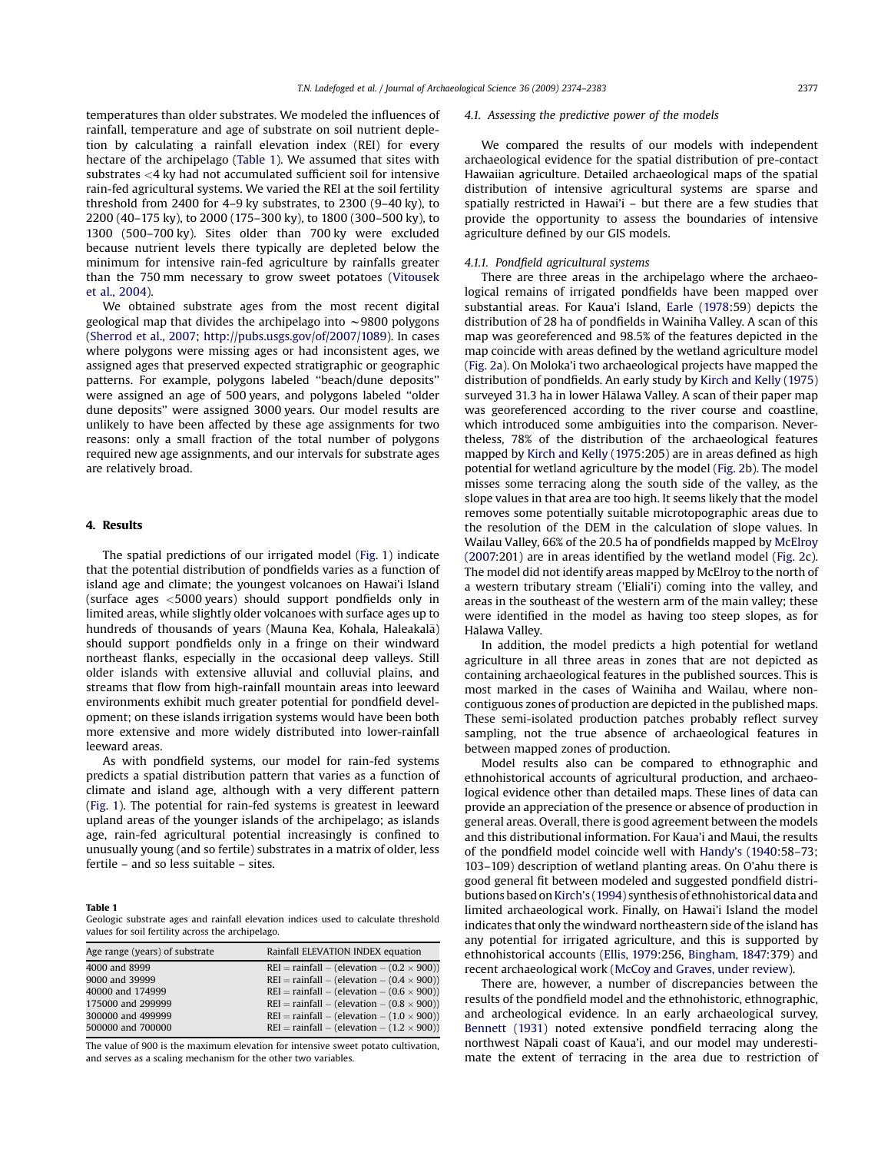temperatures than older substrates. We modeled the influences of rainfall, temperature and age of substrate on soil nutrient depletion by calculating a rainfall elevation index (REI) for every hectare of the archipelago (Table 1). We assumed that sites with substrates <4 ky had not accumulated sufficient soil for intensive rain-fed agricultural systems. We varied the REI at the soil fertility threshold from 2400 for 4–9 ky substrates, to 2300 (9–40 ky), to 2200 (40–175 ky), to 2000 (175–300 ky), to 1800 (300–500 ky), to 1300 (500–700 ky). Sites older than 700 ky were excluded because nutrient levels there typically are depleted below the minimum for intensive rain-fed agriculture by rainfalls greater than the 750 mm necessary to grow sweet potatoes (Vitousek et al., 2004).

We obtained substrate ages from the most recent digital geological map that divides the archipelago into  $\sim$ 9800 polygons (Sherrod et al., 2007; http://pubs.usgs.gov/of/2007/1089). In cases where polygons were missing ages or had inconsistent ages, we assigned ages that preserved expected stratigraphic or geographic patterns. For example, polygons labeled ''beach/dune deposits'' were assigned an age of 500 years, and polygons labeled ''older dune deposits'' were assigned 3000 years. Our model results are unlikely to have been affected by these age assignments for two reasons: only a small fraction of the total number of polygons required new age assignments, and our intervals for substrate ages are relatively broad.

## 4. Results

The spatial predictions of our irrigated model (Fig. 1) indicate that the potential distribution of pondfields varies as a function of island age and climate; the youngest volcanoes on Hawai'i Island (surface ages <5000 years) should support pondfields only in limited areas, while slightly older volcanoes with surface ages up to hundreds of thousands of years (Mauna Kea, Kohala, Haleakalā) should support pondfields only in a fringe on their windward northeast flanks, especially in the occasional deep valleys. Still older islands with extensive alluvial and colluvial plains, and streams that flow from high-rainfall mountain areas into leeward environments exhibit much greater potential for pondfield development; on these islands irrigation systems would have been both more extensive and more widely distributed into lower-rainfall leeward areas.

As with pondfield systems, our model for rain-fed systems predicts a spatial distribution pattern that varies as a function of climate and island age, although with a very different pattern (Fig. 1). The potential for rain-fed systems is greatest in leeward upland areas of the younger islands of the archipelago; as islands age, rain-fed agricultural potential increasingly is confined to unusually young (and so fertile) substrates in a matrix of older, less fertile – and so less suitable – sites.

#### Table 1

Geologic substrate ages and rainfall elevation indices used to calculate threshold values for soil fertility across the archipelago.

| Age range (years) of substrate | Rainfall ELEVATION INDEX equation                 |
|--------------------------------|---------------------------------------------------|
| 4000 and 8999                  | $REI = rainfall - (elevation - (0.2 \times 900))$ |
| 9000 and 39999                 | $REI = rainfall - (elevation - (0.4 \times 900))$ |
| 40000 and 174999               | $REI = rainfall - (elevation - (0.6 \times 900))$ |
| 175000 and 299999              | $REI = rainfall - (elevation - (0.8 \times 900))$ |
| 300000 and 499999              | $REI = rainfall - (elevation - (1.0 \times 900))$ |
| 500000 and 700000              | $REI = rainfall - (elevation - (1.2 \times 900))$ |
|                                |                                                   |

The value of 900 is the maximum elevation for intensive sweet potato cultivation, and serves as a scaling mechanism for the other two variables.

### 4.1. Assessing the predictive power of the models

We compared the results of our models with independent archaeological evidence for the spatial distribution of pre-contact Hawaiian agriculture. Detailed archaeological maps of the spatial distribution of intensive agricultural systems are sparse and spatially restricted in Hawai'i – but there are a few studies that provide the opportunity to assess the boundaries of intensive agriculture defined by our GIS models.

#### 4.1.1. Pondfield agricultural systems

There are three areas in the archipelago where the archaeological remains of irrigated pondfields have been mapped over substantial areas. For Kaua'i Island, Earle (1978:59) depicts the distribution of 28 ha of pondfields in Wainiha Valley. A scan of this map was georeferenced and 98.5% of the features depicted in the map coincide with areas defined by the wetland agriculture model (Fig. 2a). On Moloka'i two archaeological projects have mapped the distribution of pondfields. An early study by Kirch and Kelly (1975) surveyed 31.3 ha in lower Halawa Valley. A scan of their paper map was georeferenced according to the river course and coastline, which introduced some ambiguities into the comparison. Nevertheless, 78% of the distribution of the archaeological features mapped by Kirch and Kelly (1975:205) are in areas defined as high potential for wetland agriculture by the model (Fig. 2b). The model misses some terracing along the south side of the valley, as the slope values in that area are too high. It seems likely that the model removes some potentially suitable microtopographic areas due to the resolution of the DEM in the calculation of slope values. In Wailau Valley, 66% of the 20.5 ha of pondfields mapped by McElroy (2007:201) are in areas identified by the wetland model (Fig. 2c). The model did not identify areas mapped by McElroy to the north of a western tributary stream ('Eliali'i) coming into the valley, and areas in the southeast of the western arm of the main valley; these were identified in the model as having too steep slopes, as for Hālawa Valley.

In addition, the model predicts a high potential for wetland agriculture in all three areas in zones that are not depicted as containing archaeological features in the published sources. This is most marked in the cases of Wainiha and Wailau, where noncontiguous zones of production are depicted in the published maps. These semi-isolated production patches probably reflect survey sampling, not the true absence of archaeological features in between mapped zones of production.

Model results also can be compared to ethnographic and ethnohistorical accounts of agricultural production, and archaeological evidence other than detailed maps. These lines of data can provide an appreciation of the presence or absence of production in general areas. Overall, there is good agreement between the models and this distributional information. For Kaua'i and Maui, the results of the pondfield model coincide well with Handy's (1940:58–73; 103–109) description of wetland planting areas. On O'ahu there is good general fit between modeled and suggested pondfield distributions based on Kirch's (1994) synthesis of ethnohistorical data and limited archaeological work. Finally, on Hawai'i Island the model indicates that only the windward northeastern side of the island has any potential for irrigated agriculture, and this is supported by ethnohistorical accounts (Ellis, 1979:256, Bingham, 1847:379) and recent archaeological work (McCoy and Graves, under review).

There are, however, a number of discrepancies between the results of the pondfield model and the ethnohistoric, ethnographic, and archeological evidence. In an early archaeological survey, Bennett (1931) noted extensive pondfield terracing along the northwest Nāpali coast of Kaua'i, and our model may underestimate the extent of terracing in the area due to restriction of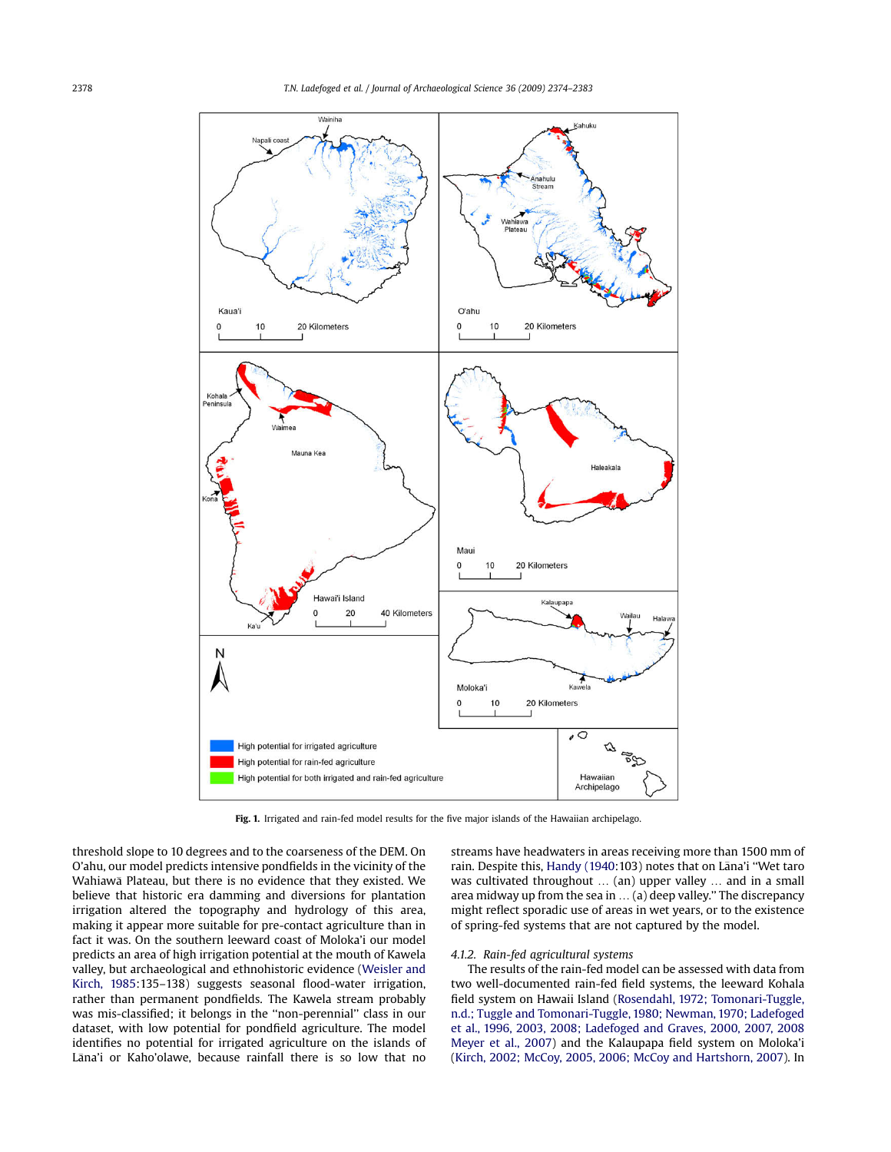

Fig. 1. Irrigated and rain-fed model results for the five major islands of the Hawaiian archipelago.

threshold slope to 10 degrees and to the coarseness of the DEM. On O'ahu, our model predicts intensive pondfields in the vicinity of the Wahiawa Plateau, but there is no evidence that they existed. We ! believe that historic era damming and diversions for plantation irrigation altered the topography and hydrology of this area, making it appear more suitable for pre-contact agriculture than in fact it was. On the southern leeward coast of Moloka'i our model predicts an area of high irrigation potential at the mouth of Kawela valley, but archaeological and ethnohistoric evidence (Weisler and Kirch, 1985:135–138) suggests seasonal flood-water irrigation, rather than permanent pondfields. The Kawela stream probably was mis-classified; it belongs in the ''non-perennial'' class in our dataset, with low potential for pondfield agriculture. The model identifies no potential for irrigated agriculture on the islands of Lāna'i or Kaho'olawe, because rainfall there is so low that no streams have headwaters in areas receiving more than 1500 mm of rain. Despite this, Handy (1940:103) notes that on Lāna'i "Wet taro was cultivated throughout ... (an) upper valley ... and in a small area midway up from the sea in  $\ldots$  (a) deep valley." The discrepancy might reflect sporadic use of areas in wet years, or to the existence of spring-fed systems that are not captured by the model.

#### 4.1.2. Rain-fed agricultural systems

The results of the rain-fed model can be assessed with data from two well-documented rain-fed field systems, the leeward Kohala field system on Hawaii Island (Rosendahl, 1972; Tomonari-Tuggle, n.d.; Tuggle and Tomonari-Tuggle, 1980; Newman, 1970; Ladefoged et al., 1996, 2003, 2008; Ladefoged and Graves, 2000, 2007, 2008 Meyer et al., 2007) and the Kalaupapa field system on Moloka'i (Kirch, 2002; McCoy, 2005, 2006; McCoy and Hartshorn, 2007). In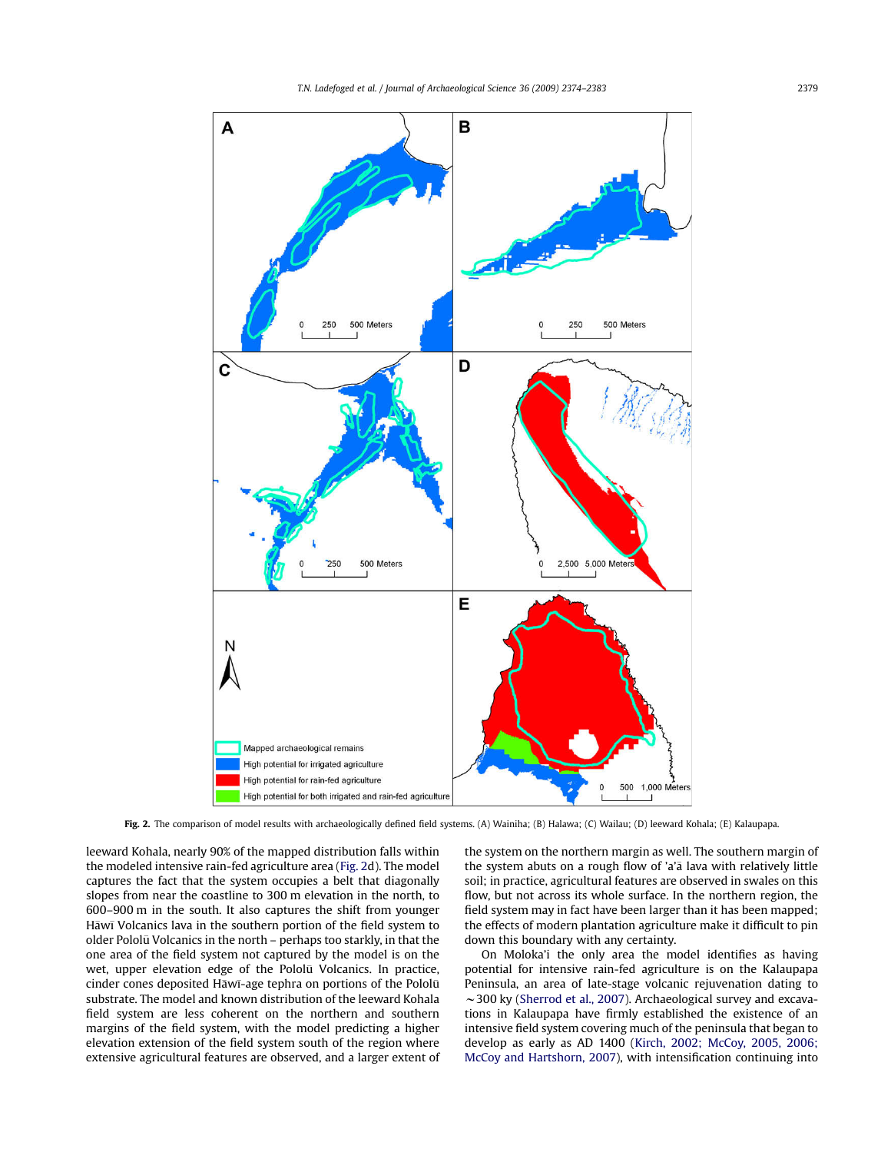

Fig. 2. The comparison of model results with archaeologically defined field systems. (A) Wainiha; (B) Halawa; (C) Wailau; (D) leeward Kohala; (E) Kalaupapa.

leeward Kohala, nearly 90% of the mapped distribution falls within the modeled intensive rain-fed agriculture area (Fig. 2d). The model captures the fact that the system occupies a belt that diagonally slopes from near the coastline to 300 m elevation in the north, to 600–900 m in the south. It also captures the shift from younger Hāwī Volcanics lava in the southern portion of the field system to older Pololū Volcanics in the north - perhaps too starkly, in that the one area of the field system not captured by the model is on the wet, upper elevation edge of the Pololū Volcanics. In practice, cinder cones deposited Hāwī-age tephra on portions of the Pololū substrate. The model and known distribution of the leeward Kohala field system are less coherent on the northern and southern margins of the field system, with the model predicting a higher elevation extension of the field system south of the region where extensive agricultural features are observed, and a larger extent of the system on the northern margin as well. The southern margin of the system abuts on a rough flow of 'a'a lava with relatively little soil; in practice, agricultural features are observed in swales on this flow, but not across its whole surface. In the northern region, the field system may in fact have been larger than it has been mapped; the effects of modern plantation agriculture make it difficult to pin down this boundary with any certainty.

On Moloka'i the only area the model identifies as having potential for intensive rain-fed agriculture is on the Kalaupapa Peninsula, an area of late-stage volcanic rejuvenation dating to  $\sim$  300 ky (Sherrod et al., 2007). Archaeological survey and excavations in Kalaupapa have firmly established the existence of an intensive field system covering much of the peninsula that began to develop as early as AD 1400 (Kirch, 2002; McCoy, 2005, 2006; McCoy and Hartshorn, 2007), with intensification continuing into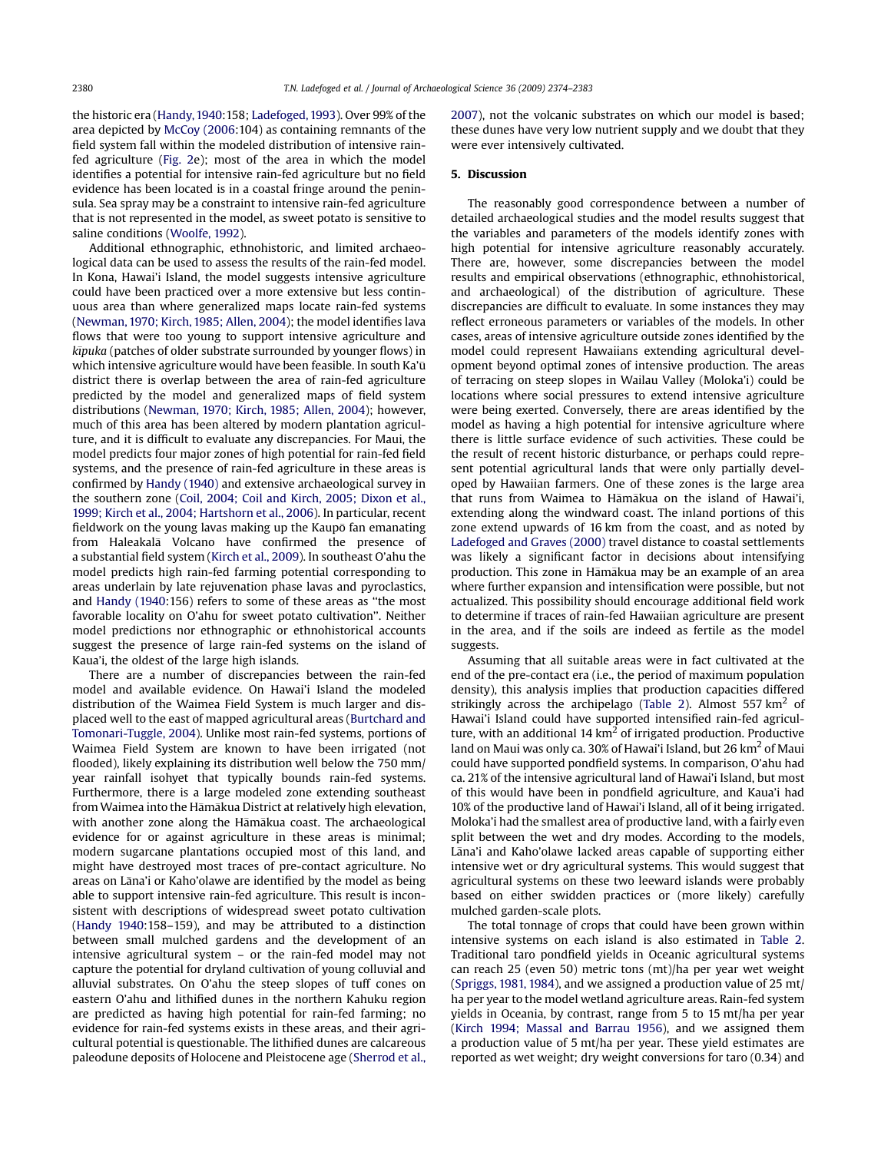the historic era (Handy, 1940:158; Ladefoged, 1993). Over 99% of the area depicted by McCoy (2006:104) as containing remnants of the field system fall within the modeled distribution of intensive rainfed agriculture (Fig. 2e); most of the area in which the model identifies a potential for intensive rain-fed agriculture but no field evidence has been located is in a coastal fringe around the peninsula. Sea spray may be a constraint to intensive rain-fed agriculture that is not represented in the model, as sweet potato is sensitive to saline conditions (Woolfe, 1992).

Additional ethnographic, ethnohistoric, and limited archaeological data can be used to assess the results of the rain-fed model. In Kona, Hawai'i Island, the model suggests intensive agriculture could have been practiced over a more extensive but less continuous area than where generalized maps locate rain-fed systems (Newman, 1970; Kirch, 1985; Allen, 2004); the model identifies lava flows that were too young to support intensive agriculture and kīpuka (patches of older substrate surrounded by younger flows) in which intensive agriculture would have been feasible. In south Ka'ū district there is overlap between the area of rain-fed agriculture predicted by the model and generalized maps of field system distributions (Newman, 1970; Kirch, 1985; Allen, 2004); however, much of this area has been altered by modern plantation agriculture, and it is difficult to evaluate any discrepancies. For Maui, the model predicts four major zones of high potential for rain-fed field systems, and the presence of rain-fed agriculture in these areas is confirmed by Handy (1940) and extensive archaeological survey in the southern zone (Coil, 2004; Coil and Kirch, 2005; Dixon et al., 1999; Kirch et al., 2004; Hartshorn et al., 2006). In particular, recent fieldwork on the young lavas making up the Kaupo fan emanating from Haleakala Volcano have confirmed the presence of a substantial field system (Kirch et al., 2009). In southeast O'ahu the model predicts high rain-fed farming potential corresponding to areas underlain by late rejuvenation phase lavas and pyroclastics, and Handy (1940:156) refers to some of these areas as ''the most favorable locality on O'ahu for sweet potato cultivation''. Neither model predictions nor ethnographic or ethnohistorical accounts suggest the presence of large rain-fed systems on the island of Kaua'i, the oldest of the large high islands.

There are a number of discrepancies between the rain-fed model and available evidence. On Hawai'i Island the modeled distribution of the Waimea Field System is much larger and displaced well to the east of mapped agricultural areas (Burtchard and Tomonari-Tuggle, 2004). Unlike most rain-fed systems, portions of Waimea Field System are known to have been irrigated (not flooded), likely explaining its distribution well below the 750 mm/ year rainfall isohyet that typically bounds rain-fed systems. Furthermore, there is a large modeled zone extending southeast from Waimea into the Hāmākua District at relatively high elevation, with another zone along the Hāmākua coast. The archaeological evidence for or against agriculture in these areas is minimal; modern sugarcane plantations occupied most of this land, and might have destroyed most traces of pre-contact agriculture. No areas on Lāna'i or Kaho'olawe are identified by the model as being able to support intensive rain-fed agriculture. This result is inconsistent with descriptions of widespread sweet potato cultivation (Handy 1940:158–159), and may be attributed to a distinction between small mulched gardens and the development of an intensive agricultural system – or the rain-fed model may not capture the potential for dryland cultivation of young colluvial and alluvial substrates. On O'ahu the steep slopes of tuff cones on eastern O'ahu and lithified dunes in the northern Kahuku region are predicted as having high potential for rain-fed farming; no evidence for rain-fed systems exists in these areas, and their agricultural potential is questionable. The lithified dunes are calcareous paleodune deposits of Holocene and Pleistocene age (Sherrod et al.,

2007), not the volcanic substrates on which our model is based; these dunes have very low nutrient supply and we doubt that they were ever intensively cultivated.

## 5. Discussion

The reasonably good correspondence between a number of detailed archaeological studies and the model results suggest that the variables and parameters of the models identify zones with high potential for intensive agriculture reasonably accurately. There are, however, some discrepancies between the model results and empirical observations (ethnographic, ethnohistorical, and archaeological) of the distribution of agriculture. These discrepancies are difficult to evaluate. In some instances they may reflect erroneous parameters or variables of the models. In other cases, areas of intensive agriculture outside zones identified by the model could represent Hawaiians extending agricultural development beyond optimal zones of intensive production. The areas of terracing on steep slopes in Wailau Valley (Moloka'i) could be locations where social pressures to extend intensive agriculture were being exerted. Conversely, there are areas identified by the model as having a high potential for intensive agriculture where there is little surface evidence of such activities. These could be the result of recent historic disturbance, or perhaps could represent potential agricultural lands that were only partially developed by Hawaiian farmers. One of these zones is the large area that runs from Waimea to Hāmākua on the island of Hawai'i, extending along the windward coast. The inland portions of this zone extend upwards of 16 km from the coast, and as noted by Ladefoged and Graves (2000) travel distance to coastal settlements was likely a significant factor in decisions about intensifying production. This zone in Hāmākua may be an example of an area where further expansion and intensification were possible, but not actualized. This possibility should encourage additional field work to determine if traces of rain-fed Hawaiian agriculture are present in the area, and if the soils are indeed as fertile as the model suggests.

Assuming that all suitable areas were in fact cultivated at the end of the pre-contact era (i.e., the period of maximum population density), this analysis implies that production capacities differed strikingly across the archipelago (Table 2). Almost 557  $km<sup>2</sup>$  of Hawai'i Island could have supported intensified rain-fed agriculture, with an additional 14  $km^2$  of irrigated production. Productive land on Maui was only ca. 30% of Hawai'i Island, but 26  $km<sup>2</sup>$  of Maui could have supported pondfield systems. In comparison, O'ahu had ca. 21% of the intensive agricultural land of Hawai'i Island, but most of this would have been in pondfield agriculture, and Kaua'i had 10% of the productive land of Hawai'i Island, all of it being irrigated. Moloka'i had the smallest area of productive land, with a fairly even split between the wet and dry modes. According to the models, Lāna'i and Kaho'olawe lacked areas capable of supporting either intensive wet or dry agricultural systems. This would suggest that agricultural systems on these two leeward islands were probably based on either swidden practices or (more likely) carefully mulched garden-scale plots.

The total tonnage of crops that could have been grown within intensive systems on each island is also estimated in Table 2. Traditional taro pondfield yields in Oceanic agricultural systems can reach 25 (even 50) metric tons (mt)/ha per year wet weight (Spriggs, 1981, 1984), and we assigned a production value of 25 mt/ ha per year to the model wetland agriculture areas. Rain-fed system yields in Oceania, by contrast, range from 5 to 15 mt/ha per year (Kirch 1994; Massal and Barrau 1956), and we assigned them a production value of 5 mt/ha per year. These yield estimates are reported as wet weight; dry weight conversions for taro (0.34) and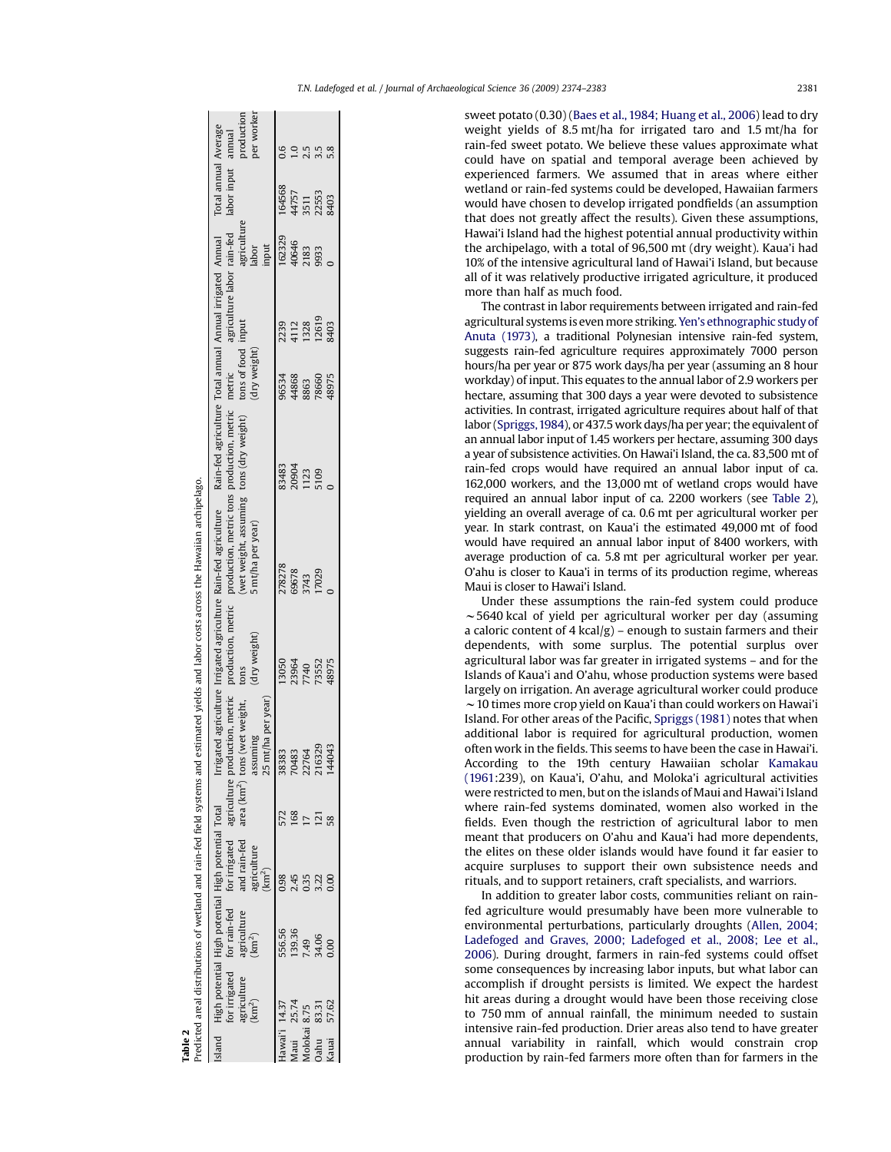| Table 2                                                       |                         |                                   | Predicted areal distributions of wetland and rain-fed field systems and              |                                                                                            |                                          | estimated yields and labor costs across the Hawaiian archipelago.                                                                                                                                                                                                                                                                                           |                        |                                          |                                       |                                 |                                            |                          |
|---------------------------------------------------------------|-------------------------|-----------------------------------|--------------------------------------------------------------------------------------|--------------------------------------------------------------------------------------------|------------------------------------------|-------------------------------------------------------------------------------------------------------------------------------------------------------------------------------------------------------------------------------------------------------------------------------------------------------------------------------------------------------------|------------------------|------------------------------------------|---------------------------------------|---------------------------------|--------------------------------------------|--------------------------|
| Island                                                        | agriculture<br>$km2$ )  | agriculture<br>(km <sup>2</sup> ) | High potential High potential High potential Total<br>agriculture<br>$\text{km}^2$ ) | mt/ha per year<br>and rain-fed area (km <sup>2</sup> ) tons (wet weight,<br>assuming<br>25 | (dry weight)<br>tons                     | Irrigated agriculture Irrigated agriculture Rain-fed agriculture Rain-fed agriculture Total annual Annual irrigated Annual<br>wet weight, assuming tons (dry weight) tons of food input<br>or irrigated for rain-fed for irrigated agriculture production, metric production, metric production, metric tons production, metric metric<br>5 mt/ha per year) |                        | (dry weight)                             | agriculture labor rain-fed            | agriculture<br>input            | Total annual Average<br>labor input annual | production<br>oer worker |
| lawai'i 14.37<br>Molokai 8.75<br>Maui<br>Kauai<br><b>Oahu</b> | 25.74<br>57.62<br>83.31 | 556.56<br>139.36<br>34.06<br>7.49 | 0.98<br>.45                                                                          | 216329<br>144043<br>22764<br>38383<br>70483                                                | 13050<br>23964<br>7740<br>73552<br>48975 | 278278<br>69678<br>3743<br>17029                                                                                                                                                                                                                                                                                                                            | 83483<br>20904<br>5109 | 44868<br>8863<br>78660<br>96534<br>48975 | 12619<br>4112<br>1328<br>2239<br>8403 | 162329<br>40646<br>2183<br>9933 | 164568<br>44757<br>3511<br>22553<br>3403   |                          |

sweet potato (0.30) (Baes et al., 1984; Huang et al., 2006) lead to dry weight yields of 8.5 mt/ha for irrigated taro and 1.5 mt/ha for rain-fed sweet potato. We believe these values approximate what could have on spatial and temporal average been achieved by experienced farmers. We assumed that in areas where either wetland or rain-fed systems could be developed, Hawaiian farmers would have chosen to develop irrigated pondfields (an assumption that does not greatly affect the results). Given these assumptions, Hawai'i Island had the highest potential annual productivity within the archipelago, with a total of 96,500 mt (dry weight). Kaua'i had 10% of the intensive agricultural land of Hawai'i Island, but because all of it was relatively productive irrigated agriculture, it produced more than half as much food.

The contrast in labor requirements between irrigated and rain-fed agricultural systems is even more striking. Yen's ethnographic study of Anuta (1973), a traditional Polynesian intensive rain-fed system, suggests rain-fed agriculture requires approximately 7000 person hours/ha per year or 875 work days/ha per year (assuming an 8 hour workday) of input. This equates to the annual labor of 2.9 workers per hectare, assuming that 300 days a year were devoted to subsistence activities. In contrast, irrigated agriculture requires about half of that labor (Spriggs,1984), or 437.5 work days/ha per year; the equivalent of an annual labor input of 1.45 workers per hectare, assuming 300 days a year of subsistence activities. On Hawai'i Island, the ca. 83,500 mt of rain-fed crops would have required an annual labor input of ca. 162,000 workers, and the 13,000 mt of wetland crops would have required an annual labor input of ca. 2200 workers (see Table 2), yielding an overall average of ca. 0.6 mt per agricultural worker per year. In stark contrast, on Kaua'i the estimated 49,000 mt of food would have required an annual labor input of 8400 workers, with average production of ca. 5.8 mt per agricultural worker per year. O'ahu is closer to Kaua'i in terms of its production regime, whereas Maui is closer to Hawai'i Island.

Under these assumptions the rain-fed system could produce  $\sim$  5640 kcal of yield per agricultural worker per day (assuming a caloric content of  $4$  kcal/g) – enough to sustain farmers and their dependents, with some surplus. The potential surplus over agricultural labor was far greater in irrigated systems – and for the Islands of Kaua'i and O'ahu, whose production systems were based largely on irrigation. An average agricultural worker could produce  $\sim$  10 times more crop yield on Kaua'i than could workers on Hawai'i Island. For other areas of the Pacific, Spriggs (1981) notes that when additional labor is required for agricultural production, women often work in the fields. This seems to have been the case in Hawai'i. According to the 19th century Hawaiian scholar Kamakau (1961:239), on Kaua'i, O'ahu, and Moloka'i agricultural activities were restricted to men, but on the islands of Maui and Hawai'i Island where rain-fed systems dominated, women also worked in the fields. Even though the restriction of agricultural labor to men meant that producers on O'ahu and Kaua'i had more dependents, the elites on these older islands would have found it far easier to acquire surpluses to support their own subsistence needs and rituals, and to support retainers, craft specialists, and warriors.

In addition to greater labor costs, communities reliant on rainfed agriculture would presumably have been more vulnerable to environmental perturbations, particularly droughts (Allen, 2004; Ladefoged and Graves, 2000; Ladefoged et al., 2008; Lee et al., 2006). During drought, farmers in rain-fed systems could offset some consequences by increasing labor inputs, but what labor can accomplish if drought persists is limited. We expect the hardest hit areas during a drought would have been those receiving close to 750 mm of annual rainfall, the minimum needed to sustain intensive rain-fed production. Drier areas also tend to have greater annual variability in rainfall, which would constrain crop production by rain-fed farmers more often than for farmers in the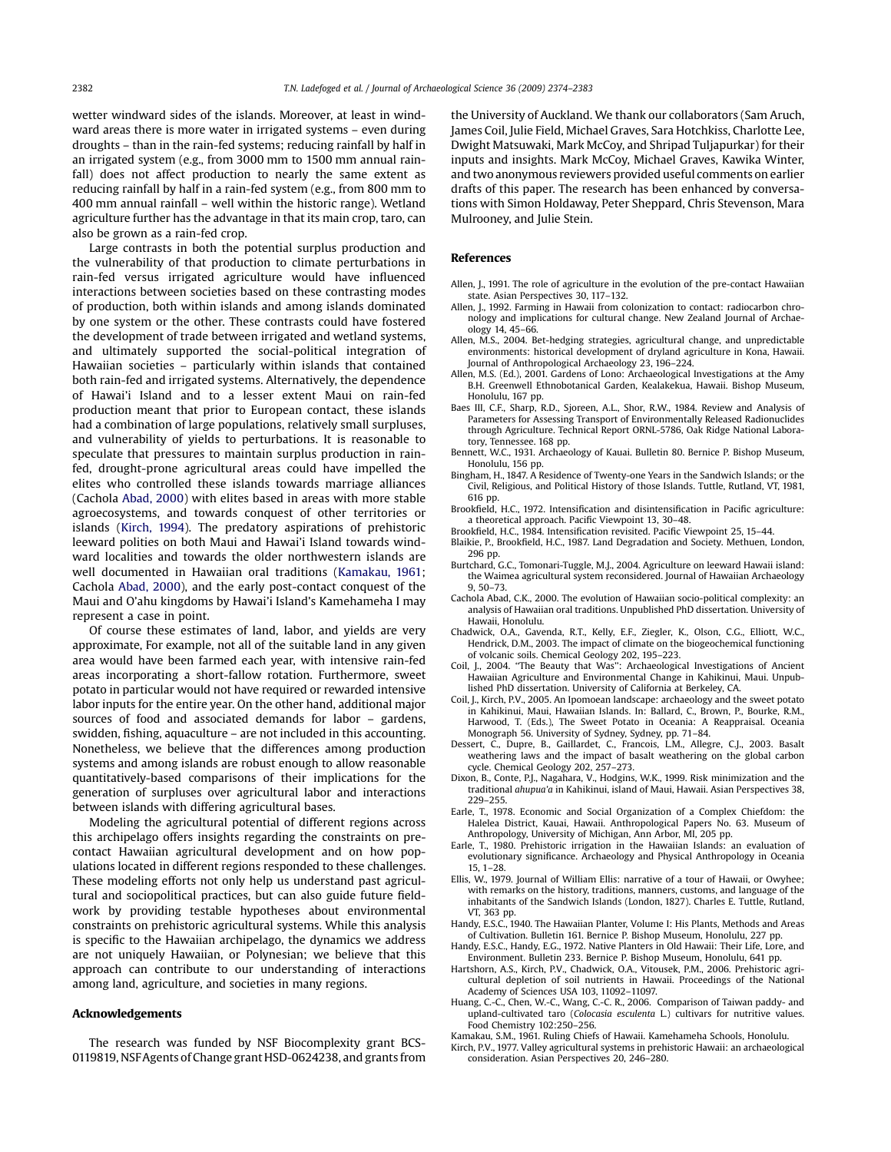wetter windward sides of the islands. Moreover, at least in windward areas there is more water in irrigated systems – even during droughts – than in the rain-fed systems; reducing rainfall by half in an irrigated system (e.g., from 3000 mm to 1500 mm annual rainfall) does not affect production to nearly the same extent as reducing rainfall by half in a rain-fed system (e.g., from 800 mm to 400 mm annual rainfall – well within the historic range). Wetland agriculture further has the advantage in that its main crop, taro, can also be grown as a rain-fed crop.

Large contrasts in both the potential surplus production and the vulnerability of that production to climate perturbations in rain-fed versus irrigated agriculture would have influenced interactions between societies based on these contrasting modes of production, both within islands and among islands dominated by one system or the other. These contrasts could have fostered the development of trade between irrigated and wetland systems, and ultimately supported the social-political integration of Hawaiian societies – particularly within islands that contained both rain-fed and irrigated systems. Alternatively, the dependence of Hawai'i Island and to a lesser extent Maui on rain-fed production meant that prior to European contact, these islands had a combination of large populations, relatively small surpluses, and vulnerability of yields to perturbations. It is reasonable to speculate that pressures to maintain surplus production in rainfed, drought-prone agricultural areas could have impelled the elites who controlled these islands towards marriage alliances (Cachola Abad, 2000) with elites based in areas with more stable agroecosystems, and towards conquest of other territories or islands (Kirch, 1994). The predatory aspirations of prehistoric leeward polities on both Maui and Hawai'i Island towards windward localities and towards the older northwestern islands are well documented in Hawaiian oral traditions (Kamakau, 1961; Cachola Abad, 2000), and the early post-contact conquest of the Maui and O'ahu kingdoms by Hawai'i Island's Kamehameha I may represent a case in point.

Of course these estimates of land, labor, and yields are very approximate, For example, not all of the suitable land in any given area would have been farmed each year, with intensive rain-fed areas incorporating a short-fallow rotation. Furthermore, sweet potato in particular would not have required or rewarded intensive labor inputs for the entire year. On the other hand, additional major sources of food and associated demands for labor – gardens, swidden, fishing, aquaculture – are not included in this accounting. Nonetheless, we believe that the differences among production systems and among islands are robust enough to allow reasonable quantitatively-based comparisons of their implications for the generation of surpluses over agricultural labor and interactions between islands with differing agricultural bases.

Modeling the agricultural potential of different regions across this archipelago offers insights regarding the constraints on precontact Hawaiian agricultural development and on how populations located in different regions responded to these challenges. These modeling efforts not only help us understand past agricultural and sociopolitical practices, but can also guide future fieldwork by providing testable hypotheses about environmental constraints on prehistoric agricultural systems. While this analysis is specific to the Hawaiian archipelago, the dynamics we address are not uniquely Hawaiian, or Polynesian; we believe that this approach can contribute to our understanding of interactions among land, agriculture, and societies in many regions.

## Acknowledgements

The research was funded by NSF Biocomplexity grant BCS-0119819, NSFAgents of Change grant HSD-0624238, and grants from the University of Auckland. We thank our collaborators (Sam Aruch, James Coil, Julie Field, Michael Graves, Sara Hotchkiss, Charlotte Lee, Dwight Matsuwaki, Mark McCoy, and Shripad Tuljapurkar) for their inputs and insights. Mark McCoy, Michael Graves, Kawika Winter, and two anonymous reviewers provided useful comments on earlier drafts of this paper. The research has been enhanced by conversations with Simon Holdaway, Peter Sheppard, Chris Stevenson, Mara Mulrooney, and Julie Stein.

#### References

- Allen, J., 1991. The role of agriculture in the evolution of the pre-contact Hawaiian state. Asian Perspectives 30, 117–132.
- Allen, J., 1992. Farming in Hawaii from colonization to contact: radiocarbon chronology and implications for cultural change. New Zealand Journal of Archaeology 14, 45–66.
- Allen, M.S., 2004. Bet-hedging strategies, agricultural change, and unpredictable environments: historical development of dryland agriculture in Kona, Hawaii. Journal of Anthropological Archaeology 23, 196–224.
- Allen, M.S. (Ed.), 2001. Gardens of Lono: Archaeological Investigations at the Amy B.H. Greenwell Ethnobotanical Garden, Kealakekua, Hawaii. Bishop Museum, Honolulu, 167 pp.
- Baes III, C.F., Sharp, R.D., Sjoreen, A.L., Shor, R.W., 1984. Review and Analysis of Parameters for Assessing Transport of Environmentally Released Radionuclides through Agriculture. Technical Report ORNL-5786, Oak Ridge National Laboratory, Tennessee. 168 pp.
- Bennett, W.C., 1931. Archaeology of Kauai. Bulletin 80. Bernice P. Bishop Museum, Honolulu, 156 pp.
- Bingham, H., 1847. A Residence of Twenty-one Years in the Sandwich Islands; or the Civil, Religious, and Political History of those Islands. Tuttle, Rutland, VT, 1981, 616 pp.
- Brookfield, H.C., 1972. Intensification and disintensification in Pacific agriculture: a theoretical approach. Pacific Viewpoint 13, 30–48.
- Brookfield, H.C., 1984. Intensification revisited. Pacific Viewpoint 25, 15–44.
- Blaikie, P., Brookfield, H.C., 1987. Land Degradation and Society. Methuen, London, 296 pp.
- Burtchard, G.C., Tomonari-Tuggle, M.J., 2004. Agriculture on leeward Hawaii island: the Waimea agricultural system reconsidered. Journal of Hawaiian Archaeology 9, 50–73.
- Cachola Abad, C.K., 2000. The evolution of Hawaiian socio-political complexity: an analysis of Hawaiian oral traditions. Unpublished PhD dissertation. University of Hawaii, Honolulu.
- Chadwick, O.A., Gavenda, R.T., Kelly, E.F., Ziegler, K., Olson, C.G., Elliott, W.C., Hendrick, D.M., 2003. The impact of climate on the biogeochemical functioning of volcanic soils. Chemical Geology 202, 195–223.
- Coil, J., 2004. ''The Beauty that Was'': Archaeological Investigations of Ancient Hawaiian Agriculture and Environmental Change in Kahikinui, Maui. Unpublished PhD dissertation. University of California at Berkeley, CA.
- Coil, J., Kirch, P.V., 2005. An Ipomoean landscape: archaeology and the sweet potato in Kahikinui, Maui, Hawaiian Islands. In: Ballard, C., Brown, P., Bourke, R.M., Harwood, T. (Eds.), The Sweet Potato in Oceania: A Reappraisal. Oceania Monograph 56. University of Sydney, Sydney, pp. 71–84.
- Dessert, C., Dupre, B., Gaillardet, C., Francois, L.M., Allegre, C.J., 2003. Basalt weathering laws and the impact of basalt weathering on the global carbon cycle. Chemical Geology 202, 257–273.
- Dixon, B., Conte, P.J., Nagahara, V., Hodgins, W.K., 1999. Risk minimization and the traditional ahupua'a in Kahikinui, island of Maui, Hawaii. Asian Perspectives 38, 229–255.
- Earle, T., 1978. Economic and Social Organization of a Complex Chiefdom: the Halelea District, Kauai, Hawaii. Anthropological Papers No. 63. Museum of Anthropology, University of Michigan, Ann Arbor, MI, 205 pp.
- Earle, T., 1980. Prehistoric irrigation in the Hawaiian Islands: an evaluation of evolutionary significance. Archaeology and Physical Anthropology in Oceania 15, 1–28.
- Ellis, W., 1979. Journal of William Ellis: narrative of a tour of Hawaii, or Owyhee; with remarks on the history, traditions, manners, customs, and language of the inhabitants of the Sandwich Islands (London, 1827). Charles E. Tuttle, Rutland, VT, 363 pp.
- Handy, E.S.C., 1940. The Hawaiian Planter, Volume I: His Plants, Methods and Areas of Cultivation. Bulletin 161. Bernice P. Bishop Museum, Honolulu, 227 pp.
- Handy, E.S.C., Handy, E.G., 1972. Native Planters in Old Hawaii: Their Life, Lore, and Environment. Bulletin 233. Bernice P. Bishop Museum, Honolulu, 641 pp.
- Hartshorn, A.S., Kirch, P.V., Chadwick, O.A., Vitousek, P.M., 2006. Prehistoric agricultural depletion of soil nutrients in Hawaii. Proceedings of the National Academy of Sciences USA 103, 11092–11097.
- Huang, C.-C., Chen, W.-C., Wang, C.-C. R., 2006. Comparison of Taiwan paddy- and upland-cultivated taro (Colocasia esculenta L.) cultivars for nutritive values. Food Chemistry 102:250–256.
- Kamakau, S.M., 1961. Ruling Chiefs of Hawaii. Kamehameha Schools, Honolulu.
- Kirch, P.V., 1977. Valley agricultural systems in prehistoric Hawaii: an archaeological consideration. Asian Perspectives 20, 246–280.